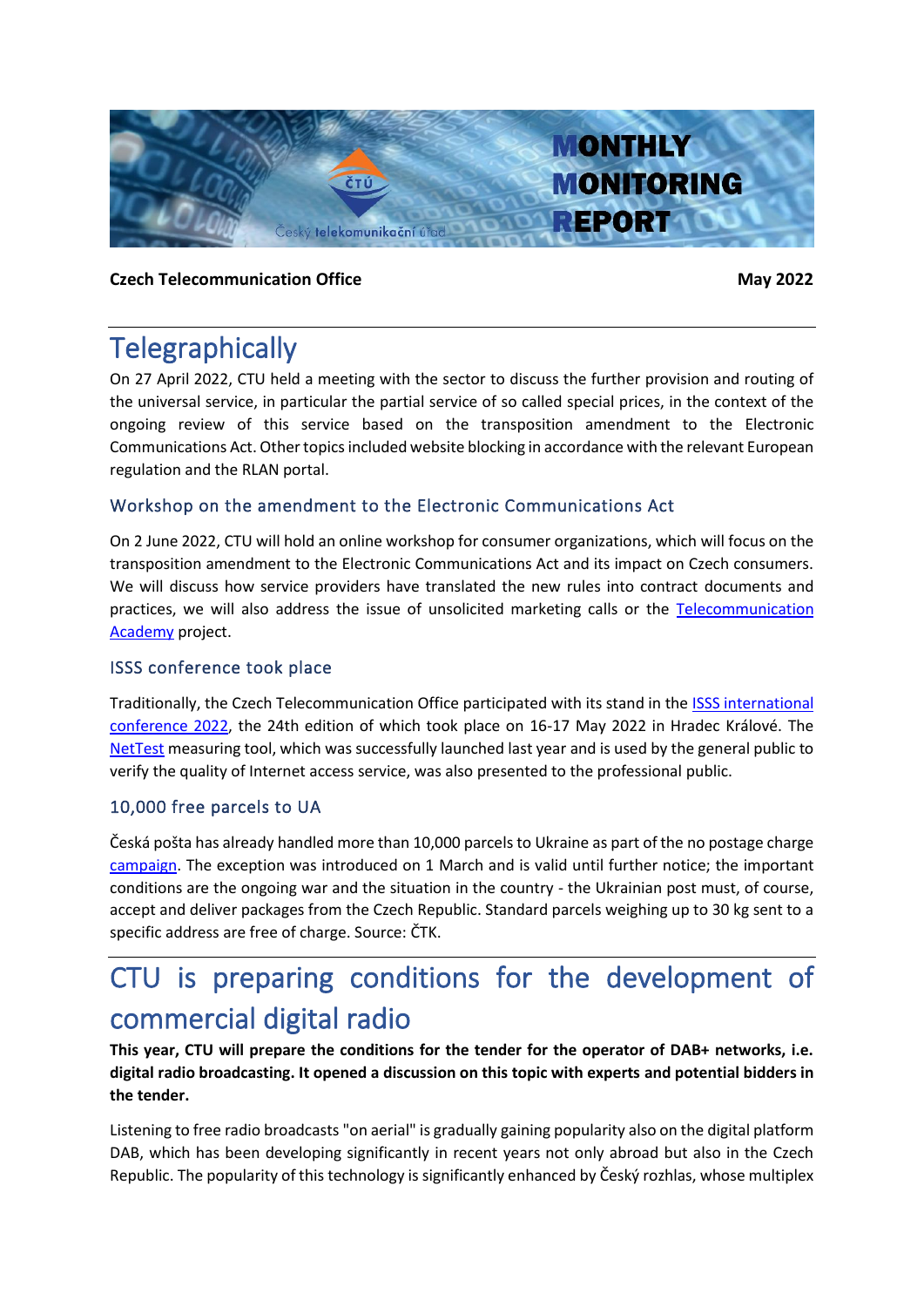

### **Czech Telecommunication Office May 2022**

## **Telegraphically**

On 27 April 2022, CTU held a meeting with the sector to discuss the further provision and routing of the universal service, in particular the partial service of so called special prices, in the context of the ongoing review of this service based on the transposition amendment to the Electronic Communications Act. Other topics included website blocking in accordance with the relevant European regulation and the RLAN portal.

## Workshop on the amendment to the Electronic Communications Act

On 2 June 2022, CTU will hold an online workshop for consumer organizations, which will focus on the transposition amendment to the Electronic Communications Act and its impact on Czech consumers. We will discuss how service providers have translated the new rules into contract documents and practices, we will also address the issue of unsolicited marketing calls or the [Telecommunication](https://akademie.ctu.cz/)  [Academy](https://akademie.ctu.cz/) project.

### ISSS conference took place

Traditionally, the Czech Telecommunication Office participated with its stand in the [ISSS international](https://www.isss.cz/)  [conference 2022,](https://www.isss.cz/) the 24th edition of which took place on 16-17 May 2022 in Hradec Králové. The [NetTest](https://nettest.cz/en/) measuring tool, which was successfully launched last year and is used by the general public to verify the quality of Internet access service, was also presented to the professional public.

### 10,000 free parcels to UA

Česká pošta has already handled more than 10,000 parcels to Ukraine as part of the no postage charge [campaign.](https://www.ceskaposta.cz/-/standardni-balik-na-ukrajinu-bude-od-brezna-bez-postovneho) The exception was introduced on 1 March and is valid until further notice; the important conditions are the ongoing war and the situation in the country - the Ukrainian post must, of course, accept and deliver packages from the Czech Republic. Standard parcels weighing up to 30 kg sent to a specific address are free of charge. Source: ČTK.

# CTU is preparing conditions for the development of commercial digital radio

**This year, CTU will prepare the conditions for the tender for the operator of DAB+ networks, i.e. digital radio broadcasting. It opened a discussion on this topic with experts and potential bidders in the tender.**

Listening to free radio broadcasts "on aerial" is gradually gaining popularity also on the digital platform DAB, which has been developing significantly in recent years not only abroad but also in the Czech Republic. The popularity of this technology is significantly enhanced by Český rozhlas, whose multiplex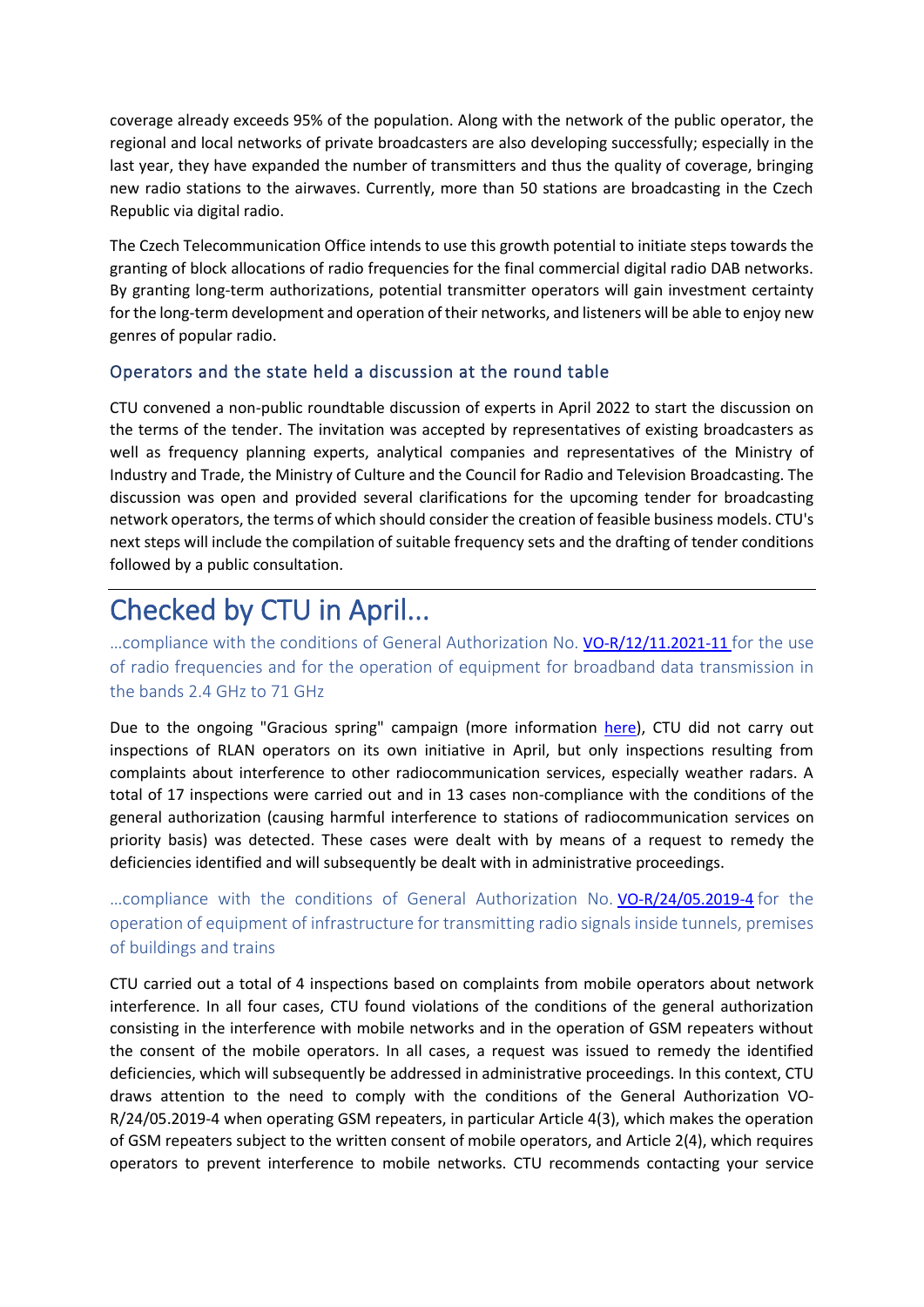coverage already exceeds 95% of the population. Along with the network of the public operator, the regional and local networks of private broadcasters are also developing successfully; especially in the last year, they have expanded the number of transmitters and thus the quality of coverage, bringing new radio stations to the airwaves. Currently, more than 50 stations are broadcasting in the Czech Republic via digital radio.

The Czech Telecommunication Office intends to use this growth potential to initiate steps towards the granting of block allocations of radio frequencies for the final commercial digital radio DAB networks. By granting long-term authorizations, potential transmitter operators will gain investment certainty for the long-term development and operation of their networks, and listeners will be able to enjoy new genres of popular radio.

### Operators and the state held a discussion at the round table

CTU convened a non-public roundtable discussion of experts in April 2022 to start the discussion on the terms of the tender. The invitation was accepted by representatives of existing broadcasters as well as frequency planning experts, analytical companies and representatives of the Ministry of Industry and Trade, the Ministry of Culture and the Council for Radio and Television Broadcasting. The discussion was open and provided several clarifications for the upcoming tender for broadcasting network operators, the terms of which should consider the creation of feasible business models. CTU's next steps will include the compilation of suitable frequency sets and the drafting of tender conditions followed by a public consultation.

# Checked by CTU in April...

...compliance with the conditions of General Authorization No. [VO-R/12/11.2021-11](https://www.ctu.eu/sites/default/files/obsah/stranky/74784/soubory/vo-r-12-11.2021-11enfin.pdf) for the use of radio frequencies and for the operation of equipment for broadband data transmission in the bands 2.4 GHz to 71 GHz

Due to the ongoing "Gracious spring" campaign (more information [here\)](https://www.ctu.cz/milostive-jaro-pro-provozovatele-zarizeni-rlan), CTU did not carry out inspections of RLAN operators on its own initiative in April, but only inspections resulting from complaints about interference to other radiocommunication services, especially weather radars. A total of 17 inspections were carried out and in 13 cases non-compliance with the conditions of the general authorization (causing harmful interference to stations of radiocommunication services on priority basis) was detected. These cases were dealt with by means of a request to remedy the deficiencies identified and will subsequently be dealt with in administrative proceedings.

…compliance with the conditions of General Authorization No. [VO-R/24/05.2019-4](https://www.ctu.eu/sites/default/files/obsah/ctu/general-authorisation-no.vo-r/24/05.2019-4/obrazky/vo-r-242019enfin.pdf) for the operation of equipment of infrastructure for transmitting radio signals inside tunnels, premises of buildings and trains

CTU carried out a total of 4 inspections based on complaints from mobile operators about network interference. In all four cases, CTU found violations of the conditions of the general authorization consisting in the interference with mobile networks and in the operation of GSM repeaters without the consent of the mobile operators. In all cases, a request was issued to remedy the identified deficiencies, which will subsequently be addressed in administrative proceedings. In this context, CTU draws attention to the need to comply with the conditions of the General Authorization VO-R/24/05.2019-4 when operating GSM repeaters, in particular Article 4(3), which makes the operation of GSM repeaters subject to the written consent of mobile operators, and Article 2(4), which requires operators to prevent interference to mobile networks. CTU recommends contacting your service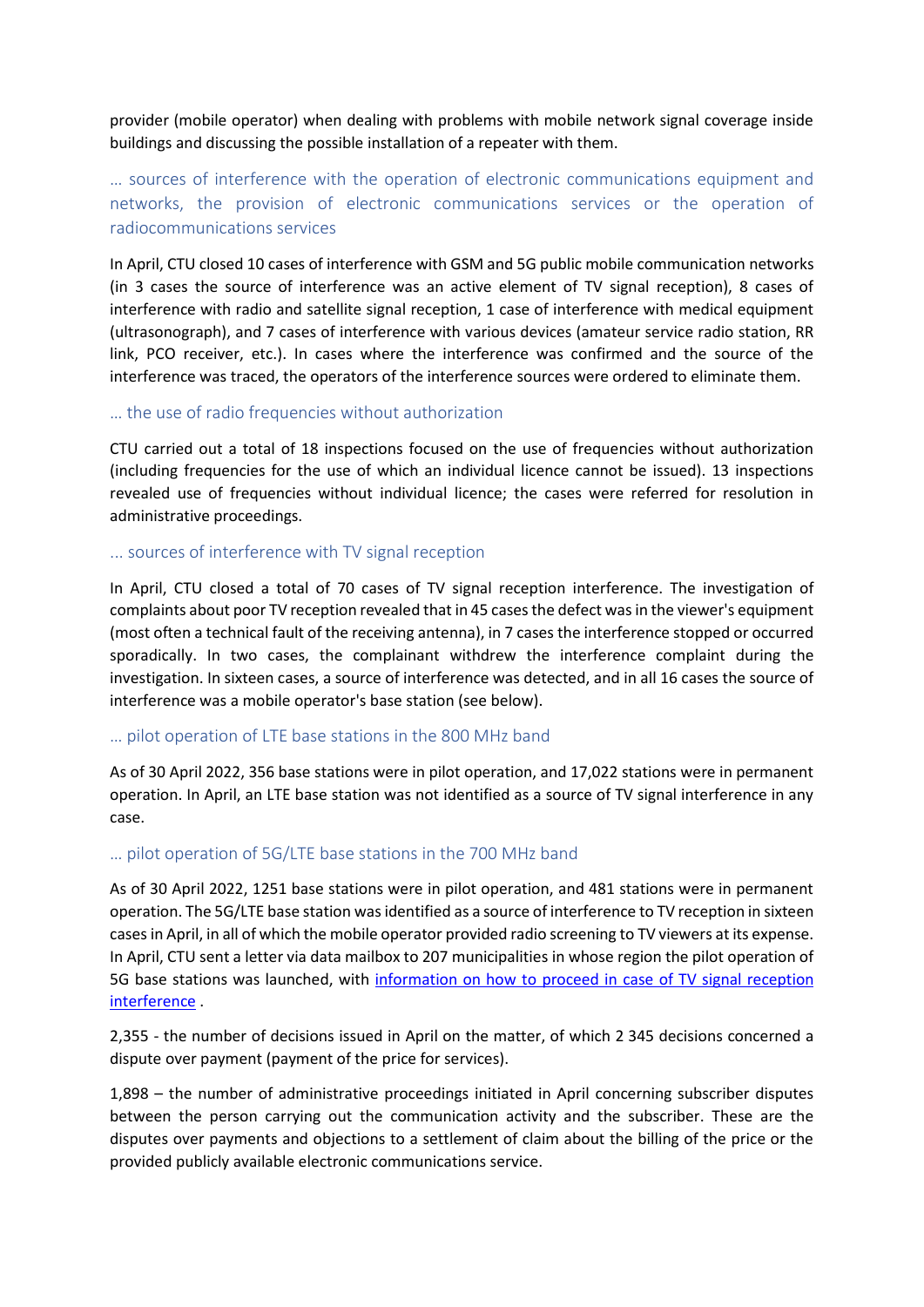provider (mobile operator) when dealing with problems with mobile network signal coverage inside buildings and discussing the possible installation of a repeater with them.

## … sources of interference with the operation of electronic communications equipment and networks, the provision of electronic communications services or the operation of radiocommunications services

In April, CTU closed 10 cases of interference with GSM and 5G public mobile communication networks (in 3 cases the source of interference was an active element of TV signal reception), 8 cases of interference with radio and satellite signal reception, 1 case of interference with medical equipment (ultrasonograph), and 7 cases of interference with various devices (amateur service radio station, RR link, PCO receiver, etc.). In cases where the interference was confirmed and the source of the interference was traced, the operators of the interference sources were ordered to eliminate them.

#### … the use of radio frequencies without authorization

CTU carried out a total of 18 inspections focused on the use of frequencies without authorization (including frequencies for the use of which an individual licence cannot be issued). 13 inspections revealed use of frequencies without individual licence; the cases were referred for resolution in administrative proceedings.

#### ... sources of interference with TV signal reception

In April, CTU closed a total of 70 cases of TV signal reception interference. The investigation of complaints about poor TV reception revealed that in 45 cases the defect was in the viewer's equipment (most often a technical fault of the receiving antenna), in 7 cases the interference stopped or occurred sporadically. In two cases, the complainant withdrew the interference complaint during the investigation. In sixteen cases, a source of interference was detected, and in all 16 cases the source of interference was a mobile operator's base station (see below).

#### … pilot operation of LTE base stations in the 800 MHz band

As of 30 April 2022, 356 base stations were in pilot operation, and 17,022 stations were in permanent operation. In April, an LTE base station was not identified as a source of TV signal interference in any case.

#### … pilot operation of 5G/LTE base stations in the 700 MHz band

As of 30 April 2022, 1251 base stations were in pilot operation, and 481 stations were in permanent operation. The 5G/LTE base station was identified as a source of interference to TV reception in sixteen cases in April, in all of which the mobile operator provided radio screening to TV viewers at its expense. In April, CTU sent a letter via data mailbox to 207 municipalities in whose region the pilot operation of 5G base stations was launched, with [information on how to proceed in case](https://www.ctu.eu/issues-related-lte-networks) of TV signal reception [interference](https://www.ctu.eu/issues-related-lte-networks) .

2,355 - the number of decisions issued in April on the matter, of which 2 345 decisions concerned a dispute over payment (payment of the price for services).

1,898 – the number of administrative proceedings initiated in April concerning subscriber disputes between the person carrying out the communication activity and the subscriber. These are the disputes over payments and objections to a settlement of claim about the billing of the price or the provided publicly available electronic communications service.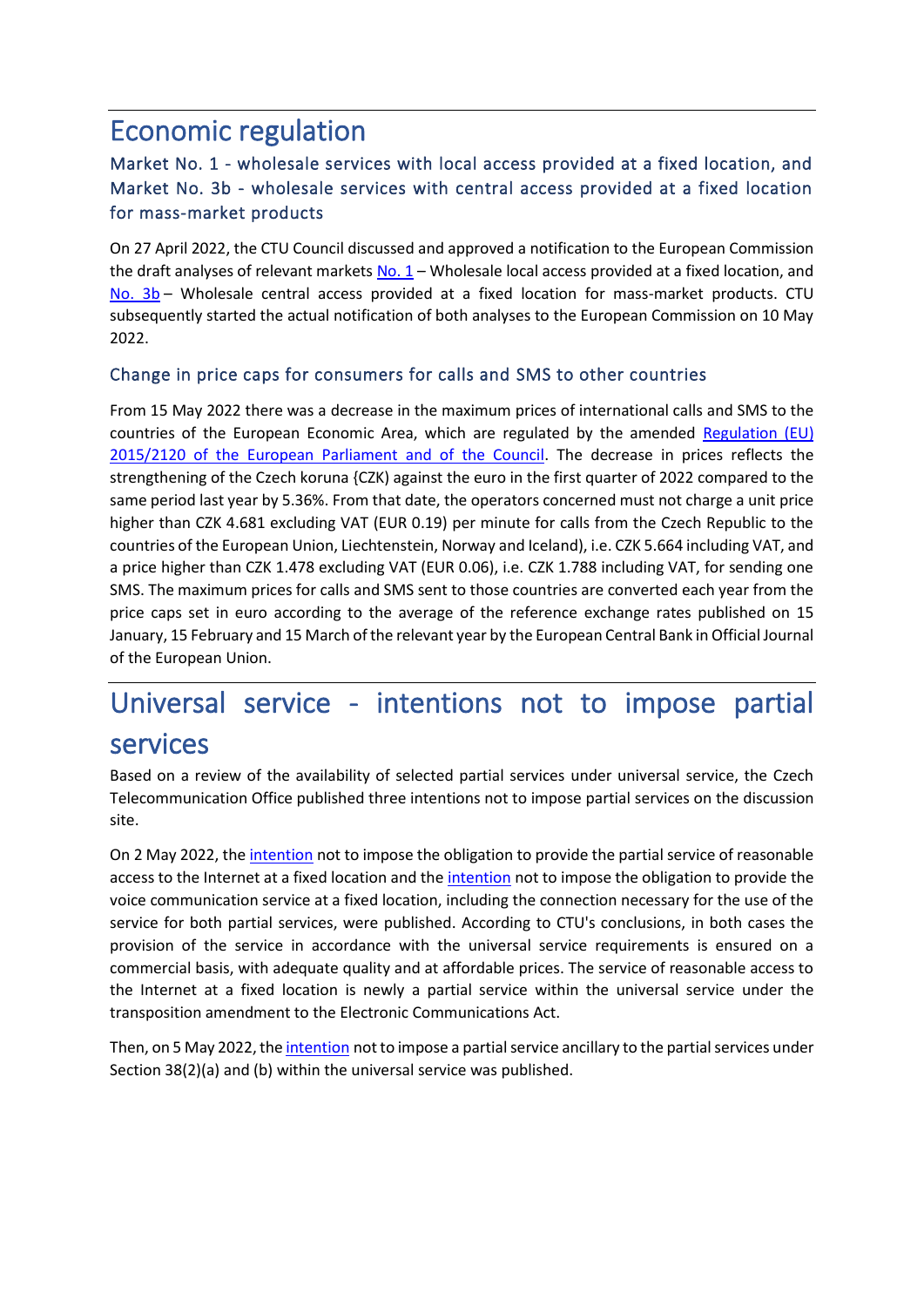## Economic regulation

## Market No. 1 - wholesale services with local access provided at a fixed location, and Market No. 3b - wholesale services with central access provided at a fixed location for mass-market products

On 27 April 2022, the CTU Council discussed and approved a notification to the European Commission the draft analyses of relevant markets  $No. 1 - Wholes$ ale local access provided at a fixed location, and [No. 3b](https://www.ctu.cz/sites/default/files/obsah/ctu/vyzva-k-uplatneni-pripominek-k-navrhu-opatreni-obecne-povahy-analyzy-trhu-c.a/3b/xx.2021-y-trhu-c.3b-velkoobchodni-sluzby-s-centralnim-pristupem-poskytovanym-v-pevnem-miste-pro-vyrobky-pro-sirokou/obrazky/art3bprovk.pdf) – Wholesale central access provided at a fixed location for mass-market products. CTU subsequently started the actual notification of both analyses to the European Commission on 10 May 2022.

## Change in price caps for consumers for calls and SMS to other countries

From 15 May 2022 there was a decrease in the maximum prices of international calls and SMS to the countries of the European Economic Area, which are regulated by the amended [Regulation \(EU\)](https://eur-lex.europa.eu/legal-content/EN/TXT/PDF/?uri=CELEX:02015R2120-20201221&from=EN)  [2015/2120 of the European Parliament and of the Council.](https://eur-lex.europa.eu/legal-content/EN/TXT/PDF/?uri=CELEX:02015R2120-20201221&from=EN) The decrease in prices reflects the strengthening of the Czech koruna {CZK) against the euro in the first quarter of 2022 compared to the same period last year by 5.36%. From that date, the operators concerned must not charge a unit price higher than CZK 4.681 excluding VAT (EUR 0.19) per minute for calls from the Czech Republic to the countries of the European Union, Liechtenstein, Norway and Iceland), i.e. CZK 5.664 including VAT, and a price higher than CZK 1.478 excluding VAT (EUR 0.06), i.e. CZK 1.788 including VAT, for sending one SMS. The maximum prices for calls and SMS sent to those countries are converted each year from the price caps set in euro according to the average of the reference exchange rates published on 15 January, 15 February and 15 March of the relevant year by the European Central Bank in Official Journal of the European Union.

## Universal service - intentions not to impose partial services

Based on a review of the availability of selected partial services under universal service, the Czech Telecommunication Office published three intentions not to impose partial services on the discussion site.

On 2 May 2022, the [intention](https://www.ctu.cz/sites/default/files/obsah/ctu/vyzva-k-uplatneni-pripominek-k-zameru-neukladat-v-ramci-univerzalni-sluzby-povinnost-poskytovat/obrazky/zamerneulozitbb.pdf) not to impose the obligation to provide the partial service of reasonable access to the Internet at a fixed location and th[e intention](https://www.ctu.cz/sites/default/files/obsah/ctu/vyzva-k-uplatneni-pripominek-k-zameru-neukladat-v-ramci-univerzalni-sluzby-povinnost-poskytovat/obrazky/zamerneulozithks.pdf) not to impose the obligation to provide the voice communication service at a fixed location, including the connection necessary for the use of the service for both partial services, were published. According to CTU's conclusions, in both cases the provision of the service in accordance with the universal service requirements is ensured on a commercial basis, with adequate quality and at affordable prices. The service of reasonable access to the Internet at a fixed location is newly a partial service within the universal service under the transposition amendment to the Electronic Communications Act.

Then, on 5 May 2022, th[e intention](https://www.ctu.cz/sites/default/files/obsah/ctu/vyzva-k-uplatneni-pripominek-k-zameru-neukladat-v-ramci-univerzalni-sluzby-povinnost-poskytovat.2-pism.d-zakona/obrazky/zamerneulozitdoplnkovesluzby.pdf) not to impose a partial service ancillary to the partial services under Section 38(2)(a) and (b) within the universal service was published.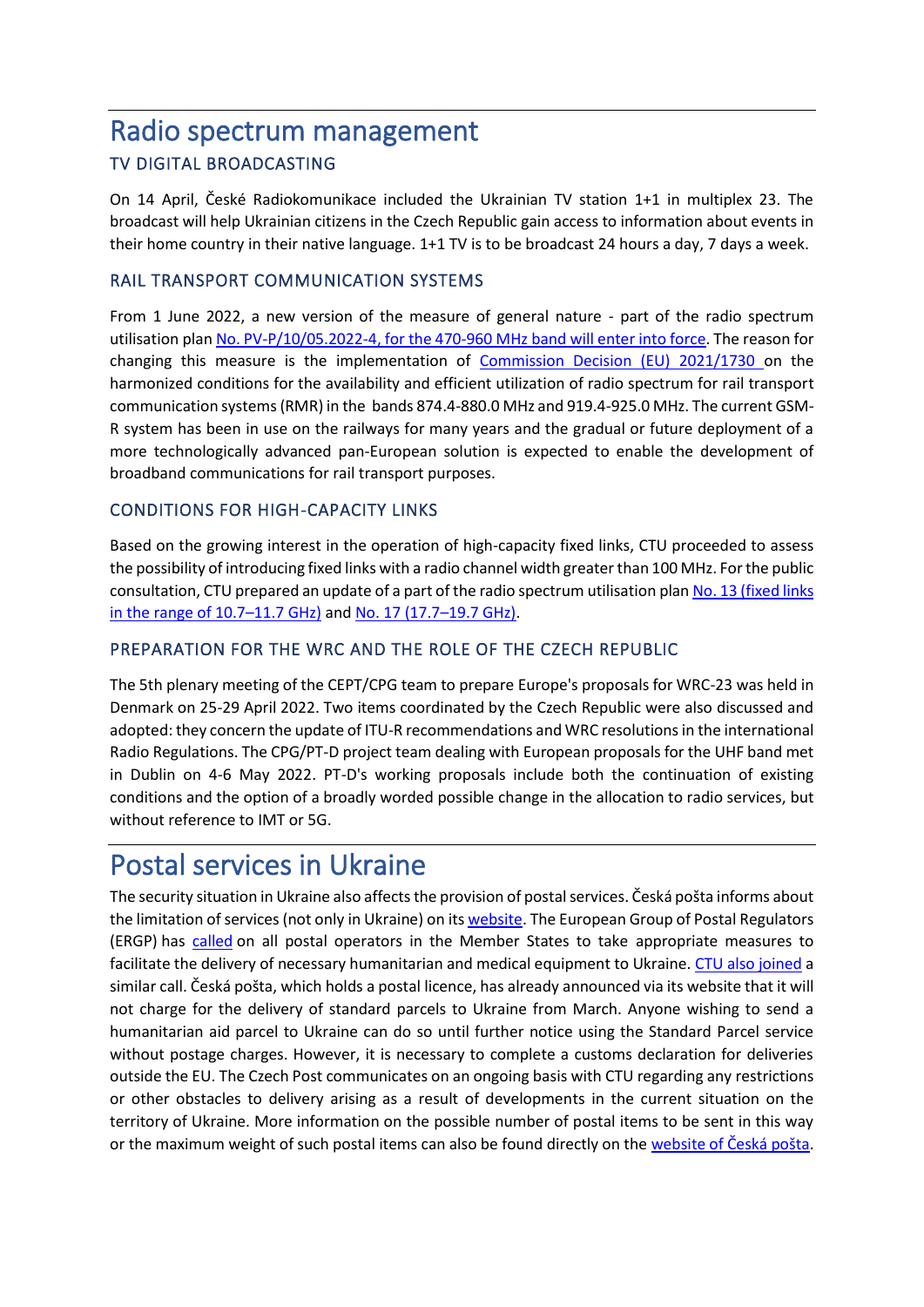## Radio spectrum management TV DIGITAL BROADCASTING

On 14 April, České Radiokomunikace included the Ukrainian TV station 1+1 in multiplex 23. The broadcast will help Ukrainian citizens in the Czech Republic gain access to information about events in their home country in their native language. 1+1 TV is to be broadcast 24 hours a day, 7 days a week.

### RAIL TRANSPORT COMMUNICATION SYSTEMS

From 1 June 2022, a new version of the measure of general nature - part of the radio spectrum utilisation plan [No. PV-P/10/05.2022-4, for the 470-960 MHz band will enter](https://www.ctu.cz/telekomunikacni-vestnik-castka-42022) into force. The reason for changing this measure is the implementation of [Commission Decision \(EU\) 2021/1730](https://eur-lex.europa.eu/legal-content/EN/TXT/PDF/?uri=CELEX:32021D1730&from=EN) on the harmonized conditions for the availability and efficient utilization of radio spectrum for rail transport communication systems (RMR) in the bands 874.4-880.0 MHz and 919.4-925.0 MHz. The current GSM-R system has been in use on the railways for many years and the gradual or future deployment of a more technologically advanced pan-European solution is expected to enable the development of broadband communications for rail transport purposes.

### CONDITIONS FOR HIGH-CAPACITY LINKS

Based on the growing interest in the operation of high-capacity fixed links, CTU proceeded to assess the possibility of introducing fixed links with a radio channel width greater than 100 MHz. For the public consultation, CTU prepared an update of a part of the radio spectrum utilisation pla[n No. 13 \(fixed links](https://www.ctu.cz/vyzva-k-uplatneni-pripominek-k-navrhu-opatreni-obecne-povahy-casti-planu-vyuziti-radioveho-spekt-113)  [in the range of 10.7](https://www.ctu.cz/vyzva-k-uplatneni-pripominek-k-navrhu-opatreni-obecne-povahy-casti-planu-vyuziti-radioveho-spekt-113)–11.7 GHz) and [No. 17 \(17.7](https://www.ctu.cz/vyzva-k-uplatneni-pripominek-k-navrhu-opatreni-obecne-povahy-casti-planu-vyuziti-radioveho-spekt-114)–19.7 GHz).

### PREPARATION FOR THE WRC AND THE ROLE OF THE CZECH REPUBLIC

The 5th plenary meeting of the CEPT/CPG team to prepare Europe's proposals for WRC-23 was held in Denmark on 25-29 April 2022. Two items coordinated by the Czech Republic were also discussed and adopted: they concern the update of ITU-R recommendations and WRC resolutions in the international Radio Regulations. The CPG/PT-D project team dealing with European proposals for the UHF band met in Dublin on 4-6 May 2022. PT-D's working proposals include both the continuation of existing conditions and the option of a broadly worded possible change in the allocation to radio services, but without reference to IMT or 5G.

## Postal services in Ukraine

The security situation in Ukraine also affects the provision of postal services. Česká pošta informs about the limitation of services (not only in Ukraine) on it[s website.](https://www.ceskaposta.cz/omezeni-mezinarodnich-sluzeb) The European Group of Postal Regulators (ERGP) has [called](https://ec.europa.eu/docsroom/documents/49136) on all postal operators in the Member States to take appropriate measures to facilitate the delivery of necessary humanitarian and medical equipment to Ukraine. [CTU also joined](https://www.ctu.eu/press-release-postal-items-aid-ukraine) a similar call. Česká pošta, which holds a postal licence, has already announced via its website that it will not charge for the delivery of standard parcels to Ukraine from March. Anyone wishing to send a humanitarian aid parcel to Ukraine can do so until further notice using the Standard Parcel service without postage charges. However, it is necessary to complete a customs declaration for deliveries outside the EU. The Czech Post communicates on an ongoing basis with CTU regarding any restrictions or other obstacles to delivery arising as a result of developments in the current situation on the territory of Ukraine. More information on the possible number of postal items to be sent in this way or the maximum weight of such postal items can also be found directly on the [website of Česká pošta](https://www.ceskaposta.cz/-/standardni-balik-na-ukrajinu-bude-od-brezna-bez-postovneho).